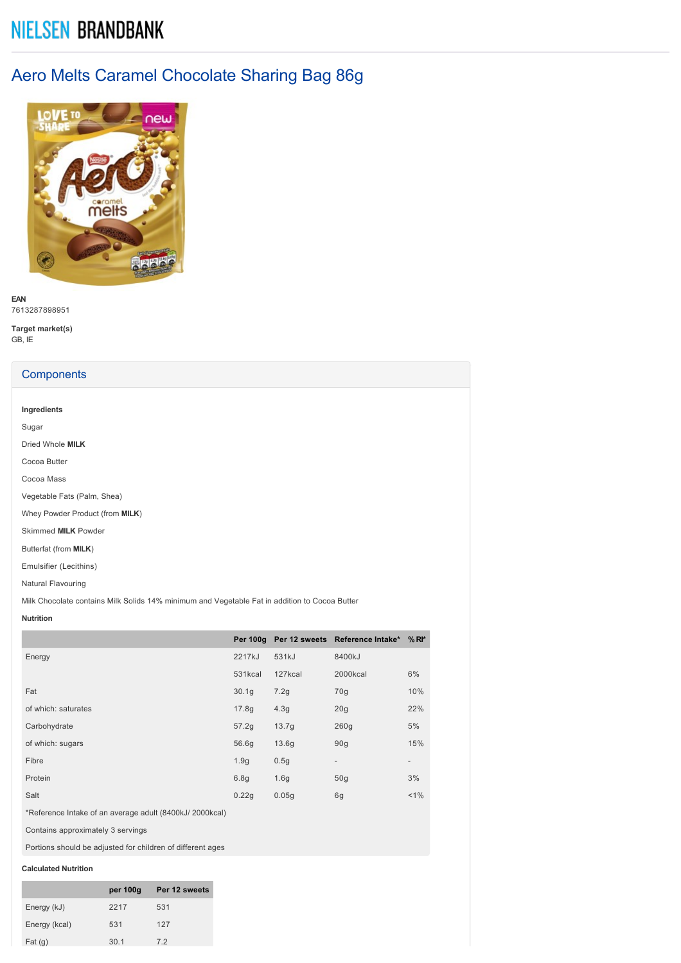# **NIELSEN BRANDBANK**

# Aero Melts Caramel Chocolate Sharing Bag 86g



**EAN** 7613287898951

**Target market(s)** GB, IE

# **Components**

| Ingredients      |  |  |  |  |
|------------------|--|--|--|--|
| Sugar            |  |  |  |  |
| Dried Whole MILK |  |  |  |  |
| Cocoa Butter     |  |  |  |  |
| Cocoa Mass       |  |  |  |  |

Vegetable Fats (Palm, Shea)

Whey Powder Product (from **MILK**)

Skimmed **MILK** Powder

Butterfat (from **MILK**)

Emulsifier (Lecithins)

Natural Flavouring

Milk Chocolate contains Milk Solids 14% minimum and Vegetable Fat in addition to Cocoa Butter

## **Nutrition**

|                                  |         |                  | Per 100g Per 12 sweets Reference Intake* % RI* |                          |
|----------------------------------|---------|------------------|------------------------------------------------|--------------------------|
| Energy                           | 2217kJ  | 531kJ            | 8400kJ                                         |                          |
|                                  | 531kcal | 127kcal          | 2000kcal                                       | 6%                       |
| Fat                              | 30.1q   | 7.2g             | 70g                                            | 10%                      |
| of which: saturates              | 17.8g   | 4.3g             | 20q                                            | 22%                      |
| Carbohydrate                     | 57.2q   | 13.7q            | 260q                                           | 5%                       |
| of which: sugars                 | 56.6g   | 13.6q            | 90q                                            | 15%                      |
| Fibre                            | 1.9q    | 0.5q             | $\overline{\phantom{0}}$                       | $\overline{\phantom{a}}$ |
| Protein                          | 6.8g    | 1.6 <sub>g</sub> | 50 <sub>g</sub>                                | 3%                       |
| Salt                             | 0.22g   | 0.05q            | 6g                                             | $< 1\%$                  |
| $\sim$ $\sim$ $\sim$ $\sim$<br>. |         |                  |                                                |                          |

\*Reference Intake of an average adult (8400kJ/ 2000kcal)

Contains approximately 3 servings

Portions should be adjusted for children of different ages

## **Calculated Nutrition**

|               | per 100g | Per 12 sweets |
|---------------|----------|---------------|
| Energy (kJ)   | 2217     | 531           |
| Energy (kcal) | 531      | 127           |
| Fat(g)        | 30.1     | 72            |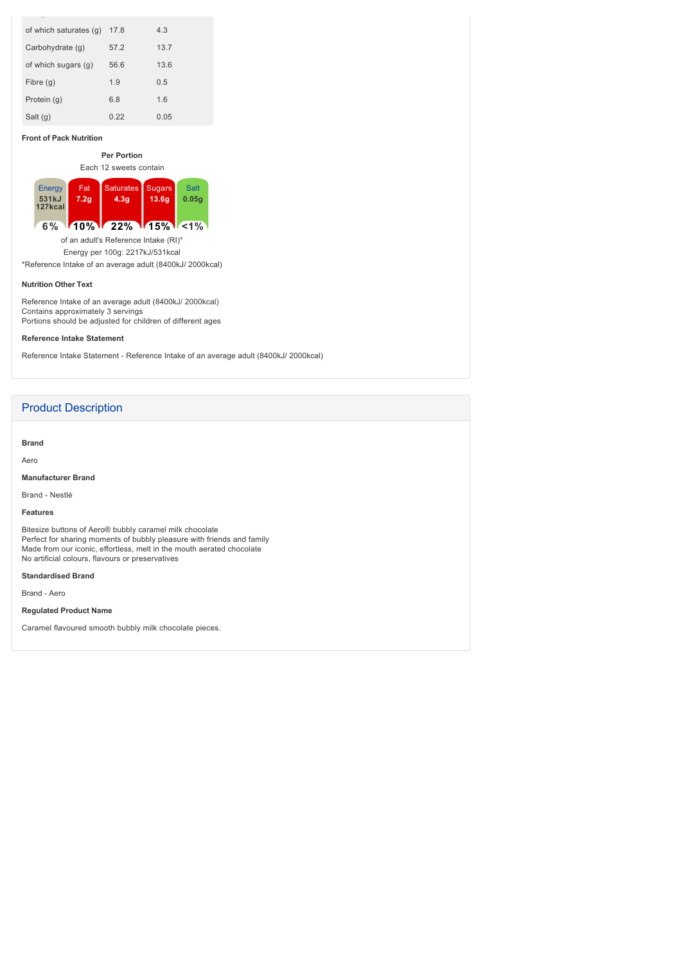| of which saturates (q) | 17.8 | 4.3  |
|------------------------|------|------|
| Carbohydrate (g)       | 57.2 | 13.7 |
| of which sugars (g)    | 56.6 | 13.6 |
| Fibre (g)              | 1.9  | 0.5  |
| Protein (q)            | 6.8  | 1.6  |
| Salt (g)               | 0.22 | 0.05 |

## **Front of Pack Nutrition**

**Per Portion** Each 12 sweets contain

| Energy  | Fat              | Saturates, | <b>Sugars</b> | <b>Salt</b> |  |
|---------|------------------|------------|---------------|-------------|--|
| 531kJ   | 7.2 <sub>q</sub> | 4.3q       | 13.6q         | 0.05a       |  |
| 127kcal |                  |            |               |             |  |
|         |                  |            |               |             |  |
|         |                  |            |               |             |  |

**6% 10% 22% 15% <1%**

of an adult's Reference Intake (RI)\* Energy per 100g: 2217kJ/531kcal

\*Reference Intake of an average adult (8400kJ/ 2000kcal)

#### **Nutrition Other Text**

Reference Intake of an average adult (8400kJ/ 2000kcal) Contains approximately 3 servings Portions should be adjusted for children of different ages

**Reference Intake Statement**

Reference Intake Statement - Reference Intake of an average adult (8400kJ/ 2000kcal)

# Product Description

**Brand**

Aero

**Manufacturer Brand**

Brand - Nestlé

### **Features**

Bitesize buttons of Aero® bubbly caramel milk chocolate Perfect for sharing moments of bubbly pleasure with friends and family Made from our iconic, effortless, melt in the mouth aerated chocolate No artificial colours, flavours or preservatives

## **Standardised Brand**

Brand - Aero

**Regulated Product Name**

Caramel flavoured smooth bubbly milk chocolate pieces.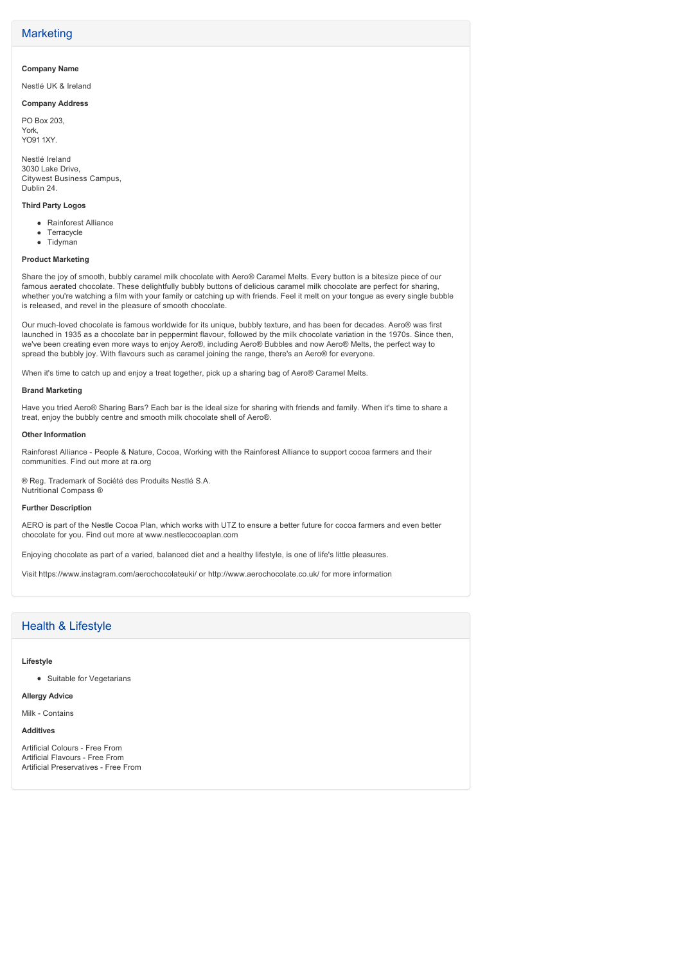# **Marketing**

## **Company Name**

Nestlé UK & Ireland

## **Company Address**

PO Box 203, York, YO91 1XY.

Nestlé Ireland 3030 Lake Drive, Citywest Business Campus, Dublin 24.

### **Third Party Logos**

- Rainforest Alliance
- Terracycle
- Tidyman

### **Product Marketing**

Share the joy of smooth, bubbly caramel milk chocolate with Aero® Caramel Melts. Every button is a bitesize piece of our famous aerated chocolate. These delightfully bubbly buttons of delicious caramel milk chocolate are perfect for sharing, whether you're watching a film with your family or catching up with friends. Feel it melt on your tongue as every single bubble is released, and revel in the pleasure of smooth chocolate.

Our muchloved chocolate is famous worldwide for its unique, bubbly texture, and has been for decades. Aero® was first launched in 1935 as a chocolate bar in peppermint flavour, followed by the milk chocolate variation in the 1970s. Since then, we've been creating even more ways to enjoy Aero®, including Aero® Bubbles and now Aero® Melts, the perfect way to spread the bubbly joy. With flavours such as caramel joining the range, there's an Aero® for everyone.

When it's time to catch up and enjoy a treat together, pick up a sharing bag of Aero® Caramel Melts.

#### **Brand Marketing**

Have you tried Aero® Sharing Bars? Each bar is the ideal size for sharing with friends and family. When it's time to share a treat, enjoy the bubbly centre and smooth milk chocolate shell of Aero®.

#### **Other Information**

Rainforest Alliance People & Nature, Cocoa, Working with the Rainforest Alliance to support cocoa farmers and their communities. Find out more at ra.org

® Reg. Trademark of Société des Produits Nestlé S.A. Nutritional Compass ®

#### **Further Description**

AERO is part of the Nestle Cocoa Plan, which works with UTZ to ensure a better future for cocoa farmers and even better chocolate for you. Find out more at www.nestlecocoaplan.com

Enjoying chocolate as part of a varied, balanced diet and a healthy lifestyle, is one of life's little pleasures.

Visit https://www.instagram.com/aerochocolateuki/ or http://www.aerochocolate.co.uk/ for more information

# Health & Lifestyle

### **Lifestyle**

• Suitable for Vegetarians

## **Allergy Advice**

Milk - Contains

## **Additives**

Artificial Colours - Free From Artificial Flavours - Free From Artificial Preservatives - Free From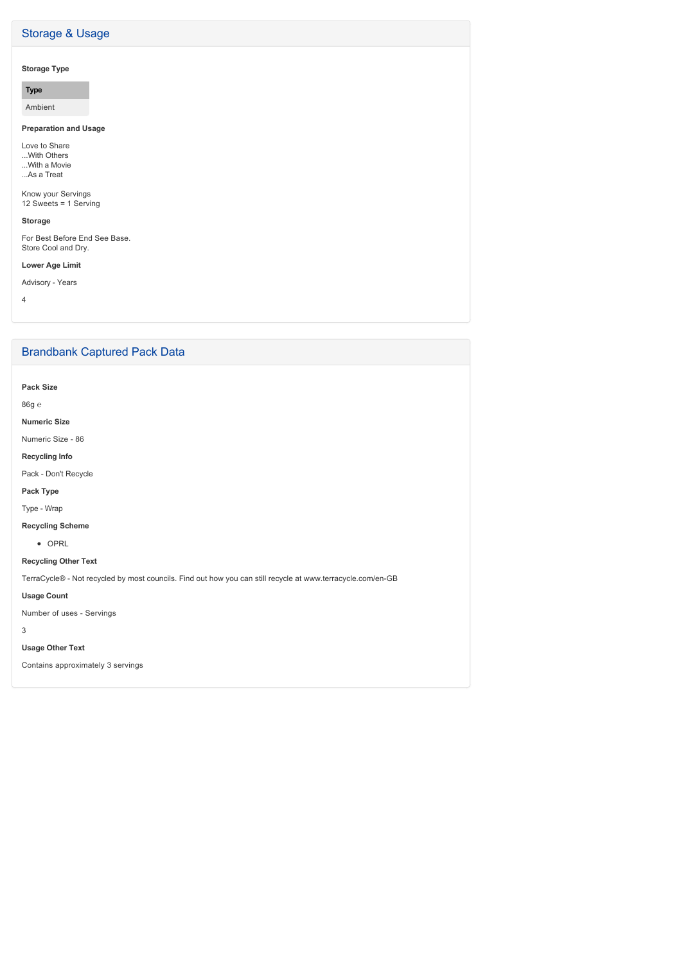# Storage & Usage

# **Storage Type**

**Type**

Ambient

# **Preparation and Usage**

Love to Share ...With Others ...With a Movie ...As a Treat

Know your Servings 12 Sweets = 1 Serving

## **Storage**

For Best Before End See Base. Store Cool and Dry.

## **Lower Age Limit**

Advisory - Years

4

# Brandbank Captured Pack Data

**Pack Size**

86g ℮

**Numeric Size**

Numeric Size - 86

**Recycling Info**

Pack - Don't Recycle

## **Pack Type**

Type - Wrap

## **Recycling Scheme**

• OPRL

# **Recycling Other Text**

TerraCycle® - Not recycled by most councils. Find out how you can still recycle at www.terracycle.com/en-GB

# **Usage Count**

Number of uses - Servings

3

# **Usage Other Text**

Contains approximately 3 servings